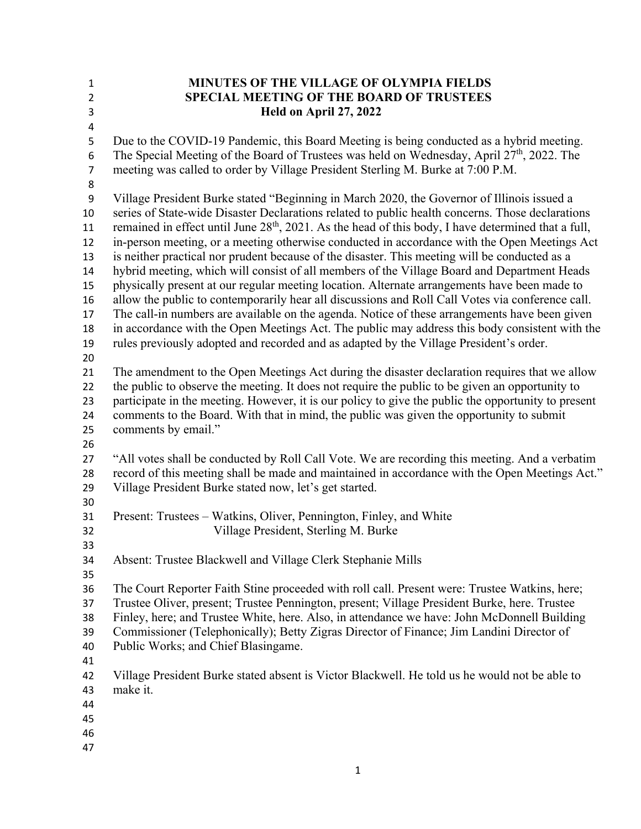| 1              | MINUTES OF THE VILLAGE OF OLYMPIA FIELDS                                                                        |
|----------------|-----------------------------------------------------------------------------------------------------------------|
| $\overline{2}$ | <b>SPECIAL MEETING OF THE BOARD OF TRUSTEES</b>                                                                 |
| 3              | Held on April 27, 2022                                                                                          |
| 4              |                                                                                                                 |
| 5              | Due to the COVID-19 Pandemic, this Board Meeting is being conducted as a hybrid meeting.                        |
| 6              | The Special Meeting of the Board of Trustees was held on Wednesday, April 27 <sup>th</sup> , 2022. The          |
| $\overline{7}$ | meeting was called to order by Village President Sterling M. Burke at 7:00 P.M.                                 |
| 8              |                                                                                                                 |
| 9              | Village President Burke stated "Beginning in March 2020, the Governor of Illinois issued a                      |
| 10             | series of State-wide Disaster Declarations related to public health concerns. Those declarations                |
| 11             | remained in effect until June 28 <sup>th</sup> , 2021. As the head of this body, I have determined that a full, |
| 12             | in-person meeting, or a meeting otherwise conducted in accordance with the Open Meetings Act                    |
| 13             | is neither practical nor prudent because of the disaster. This meeting will be conducted as a                   |
| 14             | hybrid meeting, which will consist of all members of the Village Board and Department Heads                     |
| 15             | physically present at our regular meeting location. Alternate arrangements have been made to                    |
| 16             | allow the public to contemporarily hear all discussions and Roll Call Votes via conference call.                |
| 17             | The call-in numbers are available on the agenda. Notice of these arrangements have been given                   |
| 18             | in accordance with the Open Meetings Act. The public may address this body consistent with the                  |
| 19             | rules previously adopted and recorded and as adapted by the Village President's order.                          |
| 20             |                                                                                                                 |
| 21             | The amendment to the Open Meetings Act during the disaster declaration requires that we allow                   |
| 22             | the public to observe the meeting. It does not require the public to be given an opportunity to                 |
| 23             | participate in the meeting. However, it is our policy to give the public the opportunity to present             |
| 24             | comments to the Board. With that in mind, the public was given the opportunity to submit                        |
| 25             | comments by email."                                                                                             |
| 26             |                                                                                                                 |
| 27             | "All votes shall be conducted by Roll Call Vote. We are recording this meeting. And a verbatim                  |
| 28             | record of this meeting shall be made and maintained in accordance with the Open Meetings Act."                  |
| 29             | Village President Burke stated now, let's get started.                                                          |
| 30             |                                                                                                                 |
| 31             | Present: Trustees – Watkins, Oliver, Pennington, Finley, and White                                              |
| 32<br>33       | Village President, Sterling M. Burke                                                                            |
| 34             | Absent: Trustee Blackwell and Village Clerk Stephanie Mills                                                     |
| 35             |                                                                                                                 |
| 36             | The Court Reporter Faith Stine proceeded with roll call. Present were: Trustee Watkins, here;                   |
| 37             | Trustee Oliver, present; Trustee Pennington, present; Village President Burke, here. Trustee                    |
| 38             | Finley, here; and Trustee White, here. Also, in attendance we have: John McDonnell Building                     |
| 39             | Commissioner (Telephonically); Betty Zigras Director of Finance; Jim Landini Director of                        |
| 40             | Public Works; and Chief Blasingame.                                                                             |
| 41             |                                                                                                                 |
| 42             | Village President Burke stated absent is Victor Blackwell. He told us he would not be able to                   |
| 43             | make it.                                                                                                        |
| 44             |                                                                                                                 |
| 45             |                                                                                                                 |
| 46             |                                                                                                                 |
|                |                                                                                                                 |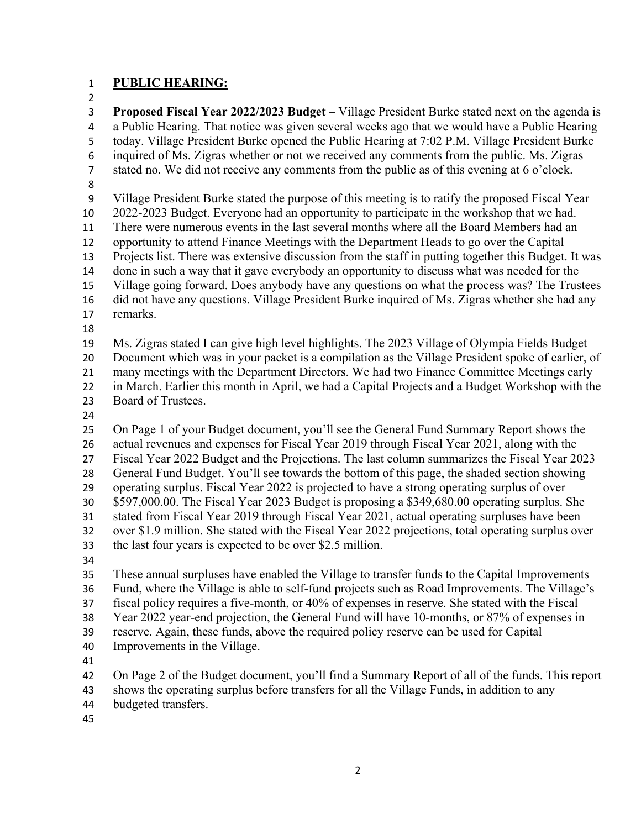## **PUBLIC HEARING:**

 **Proposed Fiscal Year 2022/2023 Budget –** Village President Burke stated next on the agenda is a Public Hearing. That notice was given several weeks ago that we would have a Public Hearing today. Village President Burke opened the Public Hearing at 7:02 P.M. Village President Burke inquired of Ms. Zigras whether or not we received any comments from the public. Ms. Zigras stated no. We did not receive any comments from the public as of this evening at 6 o'clock. Village President Burke stated the purpose of this meeting is to ratify the proposed Fiscal Year 2022-2023 Budget. Everyone had an opportunity to participate in the workshop that we had. There were numerous events in the last several months where all the Board Members had an opportunity to attend Finance Meetings with the Department Heads to go over the Capital Projects list. There was extensive discussion from the staff in putting together this Budget. It was done in such a way that it gave everybody an opportunity to discuss what was needed for the Village going forward. Does anybody have any questions on what the process was? The Trustees did not have any questions. Village President Burke inquired of Ms. Zigras whether she had any remarks. Ms. Zigras stated I can give high level highlights. The 2023 Village of Olympia Fields Budget Document which was in your packet is a compilation as the Village President spoke of earlier, of many meetings with the Department Directors. We had two Finance Committee Meetings early in March. Earlier this month in April, we had a Capital Projects and a Budget Workshop with the Board of Trustees. On Page 1 of your Budget document, you'll see the General Fund Summary Report shows the actual revenues and expenses for Fiscal Year 2019 through Fiscal Year 2021, along with the Fiscal Year 2022 Budget and the Projections. The last column summarizes the Fiscal Year 2023 General Fund Budget. You'll see towards the bottom of this page, the shaded section showing operating surplus. Fiscal Year 2022 is projected to have a strong operating surplus of over \$597,000.00. The Fiscal Year 2023 Budget is proposing a \$349,680.00 operating surplus. She stated from Fiscal Year 2019 through Fiscal Year 2021, actual operating surpluses have been over \$1.9 million. She stated with the Fiscal Year 2022 projections, total operating surplus over the last four years is expected to be over \$2.5 million. These annual surpluses have enabled the Village to transfer funds to the Capital Improvements Fund, where the Village is able to self-fund projects such as Road Improvements. The Village's fiscal policy requires a five-month, or 40% of expenses in reserve. She stated with the Fiscal Year 2022 year-end projection, the General Fund will have 10-months, or 87% of expenses in reserve. Again, these funds, above the required policy reserve can be used for Capital Improvements in the Village. On Page 2 of the Budget document, you'll find a Summary Report of all of the funds. This report shows the operating surplus before transfers for all the Village Funds, in addition to any

- budgeted transfers.
-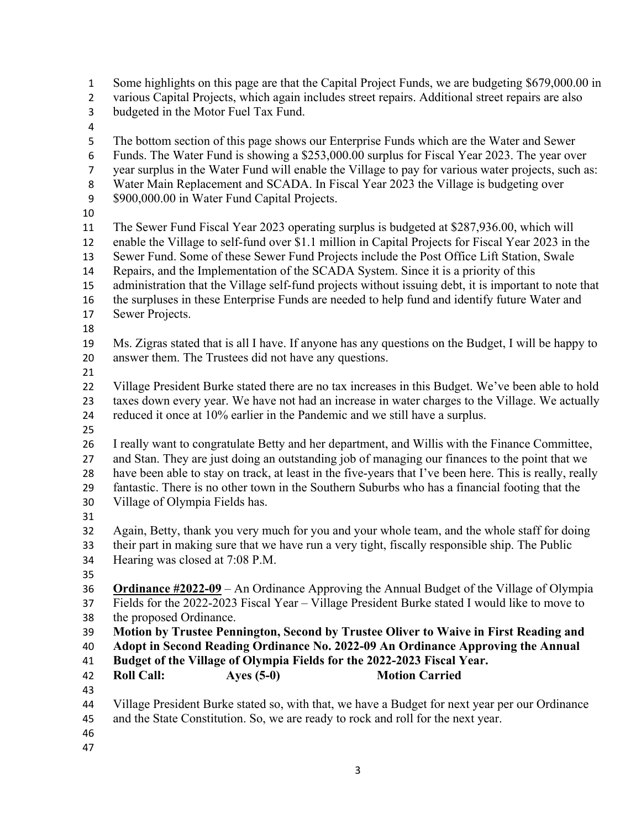Some highlights on this page are that the Capital Project Funds, we are budgeting \$679,000.00 in

- various Capital Projects, which again includes street repairs. Additional street repairs are also
- budgeted in the Motor Fuel Tax Fund.
- 
- The bottom section of this page shows our Enterprise Funds which are the Water and Sewer
- Funds. The Water Fund is showing a \$253,000.00 surplus for Fiscal Year 2023. The year over
- year surplus in the Water Fund will enable the Village to pay for various water projects, such as:
- Water Main Replacement and SCADA. In Fiscal Year 2023 the Village is budgeting over
- 9 \$900,000.00 in Water Fund Capital Projects.
- 
- The Sewer Fund Fiscal Year 2023 operating surplus is budgeted at \$287,936.00, which will
- enable the Village to self-fund over \$1.1 million in Capital Projects for Fiscal Year 2023 in the
- Sewer Fund. Some of these Sewer Fund Projects include the Post Office Lift Station, Swale
- Repairs, and the Implementation of the SCADA System. Since it is a priority of this
- administration that the Village self-fund projects without issuing debt, it is important to note that
- the surpluses in these Enterprise Funds are needed to help fund and identify future Water and
- Sewer Projects.
- 
- Ms. Zigras stated that is all I have. If anyone has any questions on the Budget, I will be happy to answer them. The Trustees did not have any questions.
- 

 Village President Burke stated there are no tax increases in this Budget. We've been able to hold taxes down every year. We have not had an increase in water charges to the Village. We actually reduced it once at 10% earlier in the Pandemic and we still have a surplus.

I really want to congratulate Betty and her department, and Willis with the Finance Committee,

and Stan. They are just doing an outstanding job of managing our finances to the point that we

have been able to stay on track, at least in the five-years that I've been here. This is really, really

- fantastic. There is no other town in the Southern Suburbs who has a financial footing that the Village of Olympia Fields has.
- 

Again, Betty, thank you very much for you and your whole team, and the whole staff for doing

- their part in making sure that we have run a very tight, fiscally responsible ship. The Public
- Hearing was closed at 7:08 P.M.
- 

 **Ordinance #2022-09** – An Ordinance Approving the Annual Budget of the Village of Olympia Fields for the 2022-2023 Fiscal Year – Village President Burke stated I would like to move to

- the proposed Ordinance.
- **Motion by Trustee Pennington, Second by Trustee Oliver to Waive in First Reading and**

**Adopt in Second Reading Ordinance No. 2022-09 An Ordinance Approving the Annual** 

- **Budget of the Village of Olympia Fields for the 2022-2023 Fiscal Year.**
- **Roll Call: Ayes (5-0) Motion Carried**
- 
- Village President Burke stated so, with that, we have a Budget for next year per our Ordinance
- and the State Constitution. So, we are ready to rock and roll for the next year.
- 
-